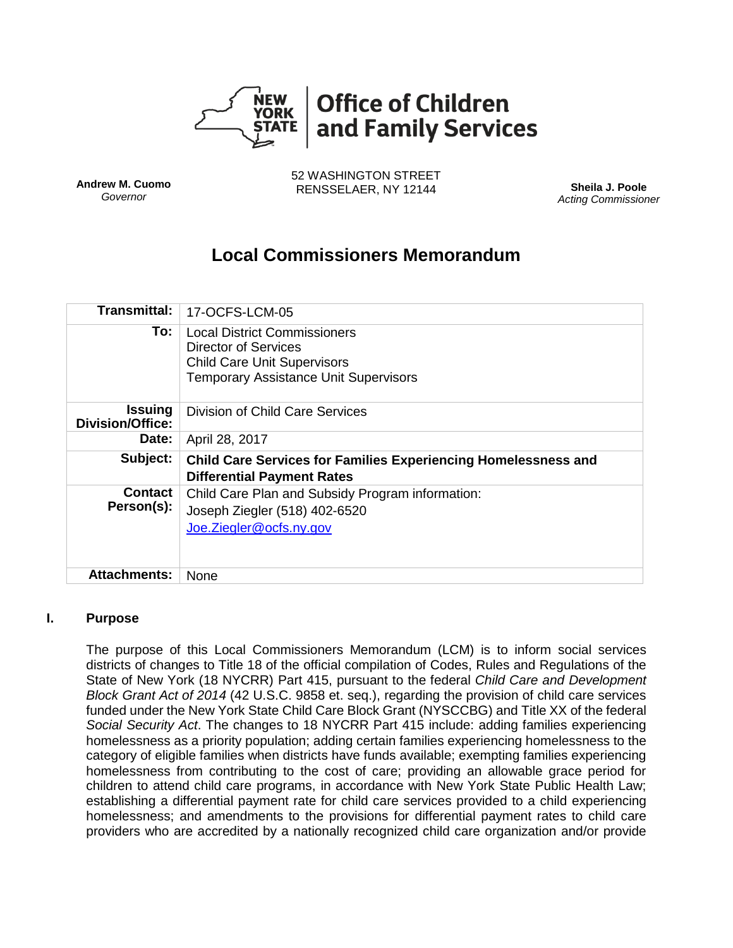

**Andrew M. Cuomo** *Governor*

52 WASHINGTON STREET RENSSELAER, NY 12144 **Sheila J. Poole**

*Acting Commissioner*

# **Local Commissioners Memorandum**

| Transmittal:                       | 17-OCFS-LCM-05                                                                                                                                           |
|------------------------------------|----------------------------------------------------------------------------------------------------------------------------------------------------------|
| To:                                | <b>Local District Commissioners</b><br><b>Director of Services</b><br><b>Child Care Unit Supervisors</b><br><b>Temporary Assistance Unit Supervisors</b> |
| <b>Issuing</b><br>Division/Office: | Division of Child Care Services                                                                                                                          |
| Date:                              | April 28, 2017                                                                                                                                           |
| Subject:                           | <b>Child Care Services for Families Experiencing Homelessness and</b><br><b>Differential Payment Rates</b>                                               |
| <b>Contact</b><br>Person(s):       | Child Care Plan and Subsidy Program information:<br>Joseph Ziegler (518) 402-6520<br>Joe.Ziegler@ocfs.ny.gov                                             |
| <b>Attachments:</b>                | None                                                                                                                                                     |

#### **I. Purpose**

The purpose of this Local Commissioners Memorandum (LCM) is to inform social services districts of changes to Title 18 of the official compilation of Codes, Rules and Regulations of the State of New York (18 NYCRR) Part 415, pursuant to the federal *Child Care and Development Block Grant Act of 2014* (42 U.S.C. 9858 et. seq.), regarding the provision of child care services funded under the New York State Child Care Block Grant (NYSCCBG) and Title XX of the federal *Social Security Act*. The changes to 18 NYCRR Part 415 include: adding families experiencing homelessness as a priority population; adding certain families experiencing homelessness to the category of eligible families when districts have funds available; exempting families experiencing homelessness from contributing to the cost of care; providing an allowable grace period for children to attend child care programs, in accordance with New York State Public Health Law; establishing a differential payment rate for child care services provided to a child experiencing homelessness; and amendments to the provisions for differential payment rates to child care providers who are accredited by a nationally recognized child care organization and/or provide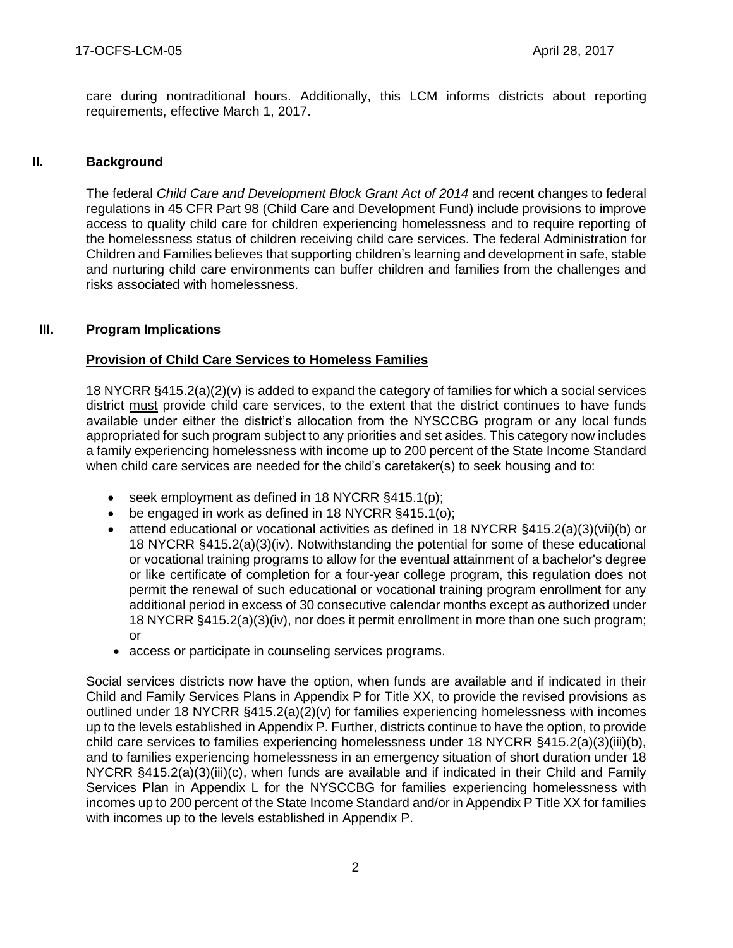care during nontraditional hours. Additionally, this LCM informs districts about reporting requirements, effective March 1, 2017.

# **II. Background**

The federal *Child Care and Development Block Grant Act of 2014* and recent changes to federal regulations in 45 CFR Part 98 (Child Care and Development Fund) include provisions to improve access to quality child care for children experiencing homelessness and to require reporting of the homelessness status of children receiving child care services. The federal Administration for Children and Families believes that supporting children's learning and development in safe, stable and nurturing child care environments can buffer children and families from the challenges and risks associated with homelessness.

## **III. Program Implications**

# **Provision of Child Care Services to Homeless Families**

18 NYCRR §415.2(a)(2)(v) is added to expand the category of families for which a social services district must provide child care services, to the extent that the district continues to have funds available under either the district's allocation from the NYSCCBG program or any local funds appropriated for such program subject to any priorities and set asides. This category now includes a family experiencing homelessness with income up to 200 percent of the State Income Standard when child care services are needed for the child's caretaker(s) to seek housing and to:

- seek employment as defined in 18 NYCRR §415.1(p);
- be engaged in work as defined in 18 NYCRR §415.1(o);
- attend educational or vocational activities as defined in 18 NYCRR  $\S 415.2(a)(3)(vii)(b)$  or 18 NYCRR §415.2(a)(3)(iv). Notwithstanding the potential for some of these educational or vocational training programs to allow for the eventual attainment of a bachelor's degree or like certificate of completion for a four-year college program, this regulation does not permit the renewal of such educational or vocational training program enrollment for any additional period in excess of 30 consecutive calendar months except as authorized under 18 NYCRR §415.2(a)(3)(iv), nor does it permit enrollment in more than one such program; or
- access or participate in counseling services programs.

Social services districts now have the option, when funds are available and if indicated in their Child and Family Services Plans in Appendix P for Title XX, to provide the revised provisions as outlined under 18 NYCRR §415.2(a)(2)(v) for families experiencing homelessness with incomes up to the levels established in Appendix P. Further, districts continue to have the option, to provide child care services to families experiencing homelessness under 18 NYCRR §415.2(a)(3)(iii)(b), and to families experiencing homelessness in an emergency situation of short duration under 18 NYCRR §415.2(a)(3)(iii)(c), when funds are available and if indicated in their Child and Family Services Plan in Appendix L for the NYSCCBG for families experiencing homelessness with incomes up to 200 percent of the State Income Standard and/or in Appendix P Title XX for families with incomes up to the levels established in Appendix P.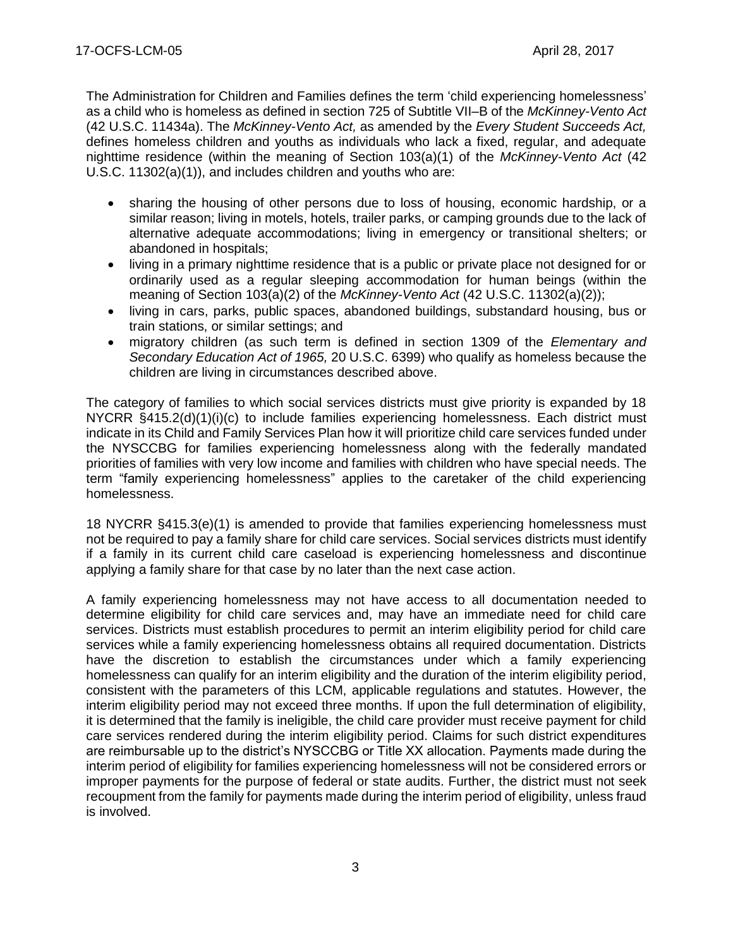The Administration for Children and Families defines the term 'child experiencing homelessness' as a child who is homeless as defined in section 725 of Subtitle VII–B of the *McKinney-Vento Act* (42 U.S.C. 11434a). The *McKinney-Vento Act,* as amended by the *Every Student Succeeds Act,* defines homeless children and youths as individuals who lack a fixed, regular, and adequate nighttime residence (within the meaning of Section 103(a)(1) of the *McKinney-Vento Act* (42 U.S.C. 11302(a)(1)), and includes children and youths who are:

- sharing the housing of other persons due to loss of housing, economic hardship, or a similar reason; living in motels, hotels, trailer parks, or camping grounds due to the lack of alternative adequate accommodations; living in emergency or transitional shelters; or abandoned in hospitals;
- living in a primary nighttime residence that is a public or private place not designed for or ordinarily used as a regular sleeping accommodation for human beings (within the meaning of Section 103(a)(2) of the *McKinney-Vento Act* (42 U.S.C. 11302(a)(2));
- living in cars, parks, public spaces, abandoned buildings, substandard housing, bus or train stations, or similar settings; and
- migratory children (as such term is defined in section 1309 of the *Elementary and Secondary Education Act of 1965,* 20 U.S.C. 6399) who qualify as homeless because the children are living in circumstances described above.

The category of families to which social services districts must give priority is expanded by 18 NYCRR §415.2(d)(1)(i)(c) to include families experiencing homelessness. Each district must indicate in its Child and Family Services Plan how it will prioritize child care services funded under the NYSCCBG for families experiencing homelessness along with the federally mandated priorities of families with very low income and families with children who have special needs. The term "family experiencing homelessness" applies to the caretaker of the child experiencing homelessness.

18 NYCRR §415.3(e)(1) is amended to provide that families experiencing homelessness must not be required to pay a family share for child care services. Social services districts must identify if a family in its current child care caseload is experiencing homelessness and discontinue applying a family share for that case by no later than the next case action.

A family experiencing homelessness may not have access to all documentation needed to determine eligibility for child care services and, may have an immediate need for child care services. Districts must establish procedures to permit an interim eligibility period for child care services while a family experiencing homelessness obtains all required documentation. Districts have the discretion to establish the circumstances under which a family experiencing homelessness can qualify for an interim eligibility and the duration of the interim eligibility period, consistent with the parameters of this LCM, applicable regulations and statutes. However, the interim eligibility period may not exceed three months. If upon the full determination of eligibility, it is determined that the family is ineligible, the child care provider must receive payment for child care services rendered during the interim eligibility period. Claims for such district expenditures are reimbursable up to the district's NYSCCBG or Title XX allocation. Payments made during the interim period of eligibility for families experiencing homelessness will not be considered errors or improper payments for the purpose of federal or state audits. Further, the district must not seek recoupment from the family for payments made during the interim period of eligibility, unless fraud is involved.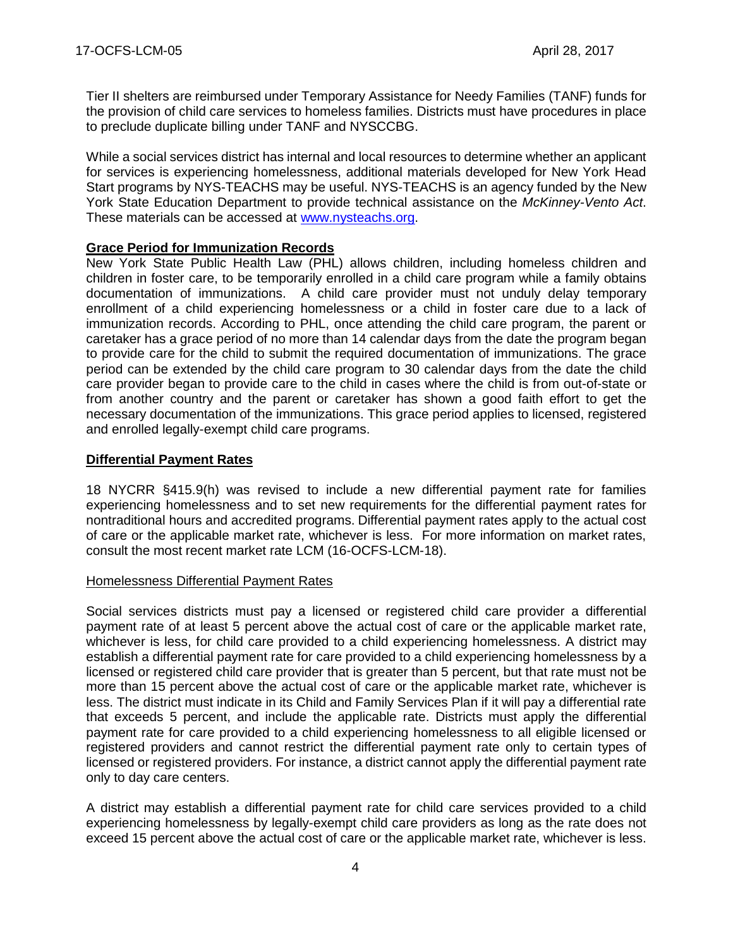Tier II shelters are reimbursed under Temporary Assistance for Needy Families (TANF) funds for the provision of child care services to homeless families. Districts must have procedures in place to preclude duplicate billing under TANF and NYSCCBG.

While a social services district has internal and local resources to determine whether an applicant for services is experiencing homelessness, additional materials developed for New York Head Start programs by NYS-TEACHS may be useful. NYS-TEACHS is an agency funded by the New York State Education Department to provide technical assistance on the *McKinney-Vento Act*. These materials can be accessed at [www.nysteachs.org.](file:///C:/Users/PU0771/Downloads/www.nysteachs.org)

## **Grace Period for Immunization Records**

New York State Public Health Law (PHL) allows children, including homeless children and children in foster care, to be temporarily enrolled in a child care program while a family obtains documentation of immunizations. A child care provider must not unduly delay temporary enrollment of a child experiencing homelessness or a child in foster care due to a lack of immunization records. According to PHL, once attending the child care program, the parent or caretaker has a grace period of no more than 14 calendar days from the date the program began to provide care for the child to submit the required documentation of immunizations. The grace period can be extended by the child care program to 30 calendar days from the date the child care provider began to provide care to the child in cases where the child is from out-of-state or from another country and the parent or caretaker has shown a good faith effort to get the necessary documentation of the immunizations. This grace period applies to licensed, registered and enrolled legally-exempt child care programs.

# **Differential Payment Rates**

18 NYCRR §415.9(h) was revised to include a new differential payment rate for families experiencing homelessness and to set new requirements for the differential payment rates for nontraditional hours and accredited programs. Differential payment rates apply to the actual cost of care or the applicable market rate, whichever is less. For more information on market rates, consult the most recent market rate LCM (16-OCFS-LCM-18).

#### Homelessness Differential Payment Rates

Social services districts must pay a licensed or registered child care provider a differential payment rate of at least 5 percent above the actual cost of care or the applicable market rate, whichever is less, for child care provided to a child experiencing homelessness. A district may establish a differential payment rate for care provided to a child experiencing homelessness by a licensed or registered child care provider that is greater than 5 percent, but that rate must not be more than 15 percent above the actual cost of care or the applicable market rate, whichever is less. The district must indicate in its Child and Family Services Plan if it will pay a differential rate that exceeds 5 percent, and include the applicable rate. Districts must apply the differential payment rate for care provided to a child experiencing homelessness to all eligible licensed or registered providers and cannot restrict the differential payment rate only to certain types of licensed or registered providers. For instance, a district cannot apply the differential payment rate only to day care centers.

A district may establish a differential payment rate for child care services provided to a child experiencing homelessness by legally-exempt child care providers as long as the rate does not exceed 15 percent above the actual cost of care or the applicable market rate, whichever is less.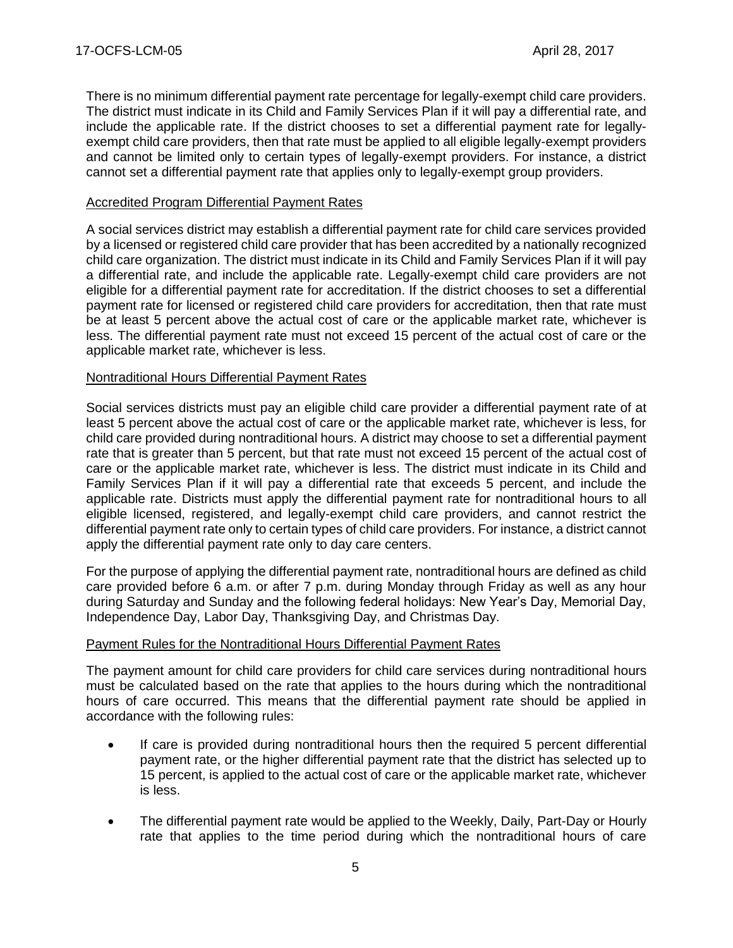There is no minimum differential payment rate percentage for legally-exempt child care providers. The district must indicate in its Child and Family Services Plan if it will pay a differential rate, and include the applicable rate. If the district chooses to set a differential payment rate for legallyexempt child care providers, then that rate must be applied to all eligible legally-exempt providers and cannot be limited only to certain types of legally-exempt providers. For instance, a district cannot set a differential payment rate that applies only to legally-exempt group providers.

## Accredited Program Differential Payment Rates

A social services district may establish a differential payment rate for child care services provided by a licensed or registered child care provider that has been accredited by a nationally recognized child care organization. The district must indicate in its Child and Family Services Plan if it will pay a differential rate, and include the applicable rate. Legally-exempt child care providers are not eligible for a differential payment rate for accreditation. If the district chooses to set a differential payment rate for licensed or registered child care providers for accreditation, then that rate must be at least 5 percent above the actual cost of care or the applicable market rate, whichever is less. The differential payment rate must not exceed 15 percent of the actual cost of care or the applicable market rate, whichever is less.

## Nontraditional Hours Differential Payment Rates

Social services districts must pay an eligible child care provider a differential payment rate of at least 5 percent above the actual cost of care or the applicable market rate, whichever is less, for child care provided during nontraditional hours. A district may choose to set a differential payment rate that is greater than 5 percent, but that rate must not exceed 15 percent of the actual cost of care or the applicable market rate, whichever is less. The district must indicate in its Child and Family Services Plan if it will pay a differential rate that exceeds 5 percent, and include the applicable rate. Districts must apply the differential payment rate for nontraditional hours to all eligible licensed, registered, and legally-exempt child care providers, and cannot restrict the differential payment rate only to certain types of child care providers. For instance, a district cannot apply the differential payment rate only to day care centers.

For the purpose of applying the differential payment rate, nontraditional hours are defined as child care provided before 6 a.m. or after 7 p.m. during Monday through Friday as well as any hour during Saturday and Sunday and the following federal holidays: New Year's Day, Memorial Day, Independence Day, Labor Day, Thanksgiving Day, and Christmas Day.

# Payment Rules for the Nontraditional Hours Differential Payment Rates

The payment amount for child care providers for child care services during nontraditional hours must be calculated based on the rate that applies to the hours during which the nontraditional hours of care occurred. This means that the differential payment rate should be applied in accordance with the following rules:

- If care is provided during nontraditional hours then the required 5 percent differential payment rate, or the higher differential payment rate that the district has selected up to 15 percent, is applied to the actual cost of care or the applicable market rate, whichever is less.
- The differential payment rate would be applied to the Weekly, Daily, Part-Day or Hourly rate that applies to the time period during which the nontraditional hours of care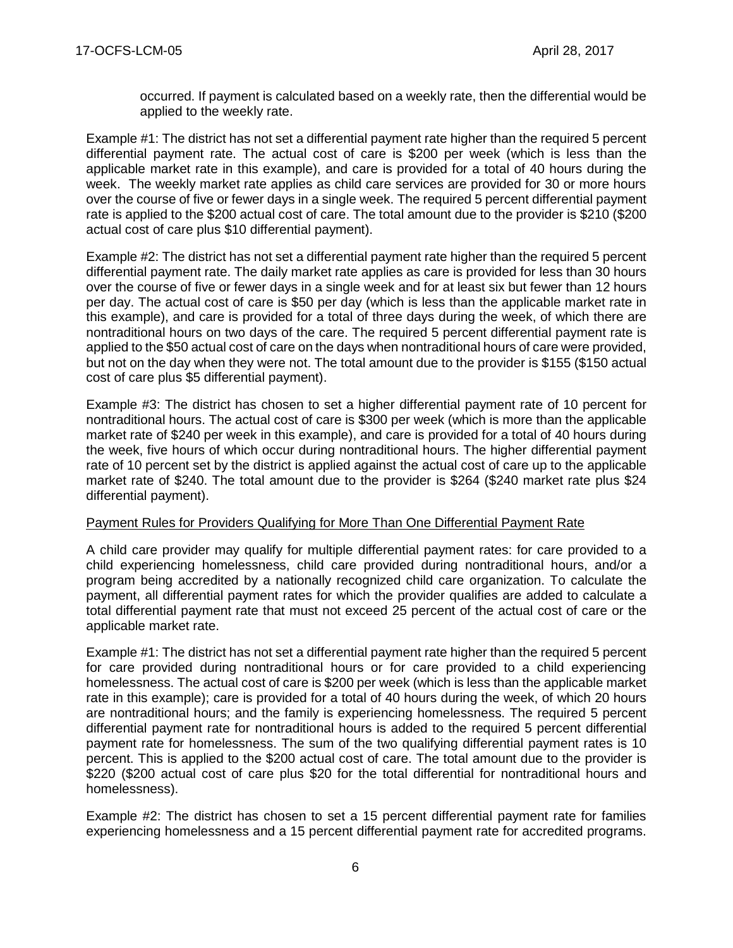occurred. If payment is calculated based on a weekly rate, then the differential would be applied to the weekly rate.

Example #1: The district has not set a differential payment rate higher than the required 5 percent differential payment rate. The actual cost of care is \$200 per week (which is less than the applicable market rate in this example), and care is provided for a total of 40 hours during the week. The weekly market rate applies as child care services are provided for 30 or more hours over the course of five or fewer days in a single week. The required 5 percent differential payment rate is applied to the \$200 actual cost of care. The total amount due to the provider is \$210 (\$200 actual cost of care plus \$10 differential payment).

Example #2: The district has not set a differential payment rate higher than the required 5 percent differential payment rate. The daily market rate applies as care is provided for less than 30 hours over the course of five or fewer days in a single week and for at least six but fewer than 12 hours per day. The actual cost of care is \$50 per day (which is less than the applicable market rate in this example), and care is provided for a total of three days during the week, of which there are nontraditional hours on two days of the care. The required 5 percent differential payment rate is applied to the \$50 actual cost of care on the days when nontraditional hours of care were provided, but not on the day when they were not. The total amount due to the provider is \$155 (\$150 actual cost of care plus \$5 differential payment).

Example #3: The district has chosen to set a higher differential payment rate of 10 percent for nontraditional hours. The actual cost of care is \$300 per week (which is more than the applicable market rate of \$240 per week in this example), and care is provided for a total of 40 hours during the week, five hours of which occur during nontraditional hours. The higher differential payment rate of 10 percent set by the district is applied against the actual cost of care up to the applicable market rate of \$240. The total amount due to the provider is \$264 (\$240 market rate plus \$24 differential payment).

#### Payment Rules for Providers Qualifying for More Than One Differential Payment Rate

A child care provider may qualify for multiple differential payment rates: for care provided to a child experiencing homelessness, child care provided during nontraditional hours, and/or a program being accredited by a nationally recognized child care organization. To calculate the payment, all differential payment rates for which the provider qualifies are added to calculate a total differential payment rate that must not exceed 25 percent of the actual cost of care or the applicable market rate.

Example #1: The district has not set a differential payment rate higher than the required 5 percent for care provided during nontraditional hours or for care provided to a child experiencing homelessness. The actual cost of care is \$200 per week (which is less than the applicable market rate in this example); care is provided for a total of 40 hours during the week, of which 20 hours are nontraditional hours; and the family is experiencing homelessness. The required 5 percent differential payment rate for nontraditional hours is added to the required 5 percent differential payment rate for homelessness. The sum of the two qualifying differential payment rates is 10 percent. This is applied to the \$200 actual cost of care. The total amount due to the provider is \$220 (\$200 actual cost of care plus \$20 for the total differential for nontraditional hours and homelessness).

Example #2: The district has chosen to set a 15 percent differential payment rate for families experiencing homelessness and a 15 percent differential payment rate for accredited programs.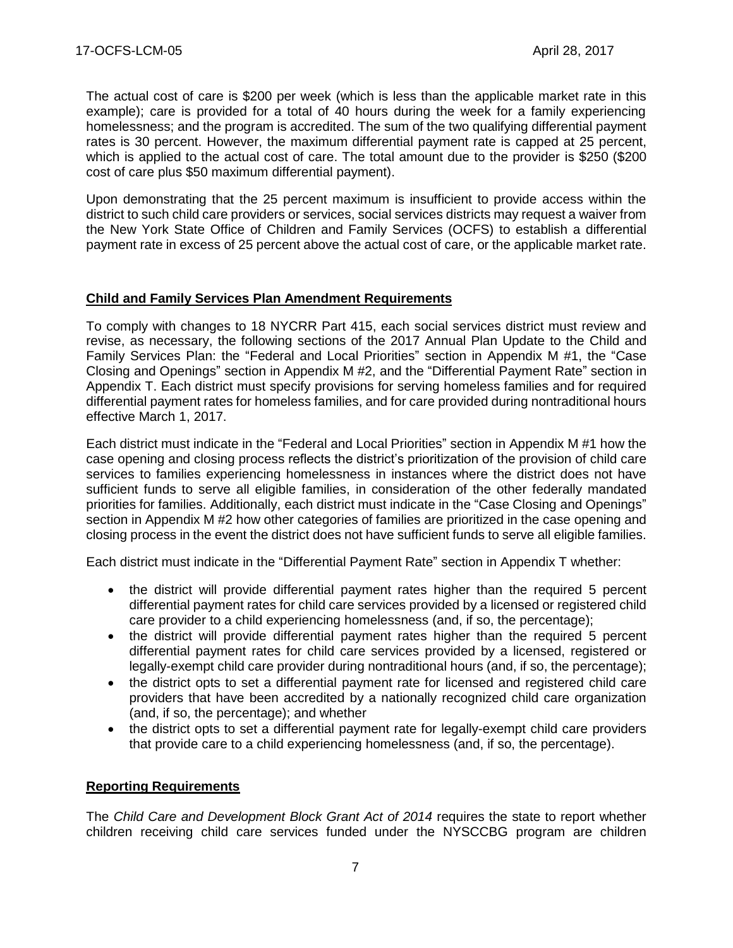The actual cost of care is \$200 per week (which is less than the applicable market rate in this example); care is provided for a total of 40 hours during the week for a family experiencing homelessness; and the program is accredited. The sum of the two qualifying differential payment rates is 30 percent. However, the maximum differential payment rate is capped at 25 percent, which is applied to the actual cost of care. The total amount due to the provider is \$250 (\$200 cost of care plus \$50 maximum differential payment).

Upon demonstrating that the 25 percent maximum is insufficient to provide access within the district to such child care providers or services, social services districts may request a waiver from the New York State Office of Children and Family Services (OCFS) to establish a differential payment rate in excess of 25 percent above the actual cost of care, or the applicable market rate.

# **Child and Family Services Plan Amendment Requirements**

To comply with changes to 18 NYCRR Part 415, each social services district must review and revise, as necessary, the following sections of the 2017 Annual Plan Update to the Child and Family Services Plan: the "Federal and Local Priorities" section in Appendix M #1, the "Case Closing and Openings" section in Appendix M #2, and the "Differential Payment Rate" section in Appendix T. Each district must specify provisions for serving homeless families and for required differential payment rates for homeless families, and for care provided during nontraditional hours effective March 1, 2017.

Each district must indicate in the "Federal and Local Priorities" section in Appendix M #1 how the case opening and closing process reflects the district's prioritization of the provision of child care services to families experiencing homelessness in instances where the district does not have sufficient funds to serve all eligible families, in consideration of the other federally mandated priorities for families. Additionally, each district must indicate in the "Case Closing and Openings" section in Appendix M #2 how other categories of families are prioritized in the case opening and closing process in the event the district does not have sufficient funds to serve all eligible families.

Each district must indicate in the "Differential Payment Rate" section in Appendix T whether:

- the district will provide differential payment rates higher than the required 5 percent differential payment rates for child care services provided by a licensed or registered child care provider to a child experiencing homelessness (and, if so, the percentage);
- the district will provide differential payment rates higher than the required 5 percent differential payment rates for child care services provided by a licensed, registered or legally-exempt child care provider during nontraditional hours (and, if so, the percentage);
- the district opts to set a differential payment rate for licensed and registered child care providers that have been accredited by a nationally recognized child care organization (and, if so, the percentage); and whether
- the district opts to set a differential payment rate for legally-exempt child care providers that provide care to a child experiencing homelessness (and, if so, the percentage).

#### **Reporting Requirements**

The *Child Care and Development Block Grant Act of 2014* requires the state to report whether children receiving child care services funded under the NYSCCBG program are children